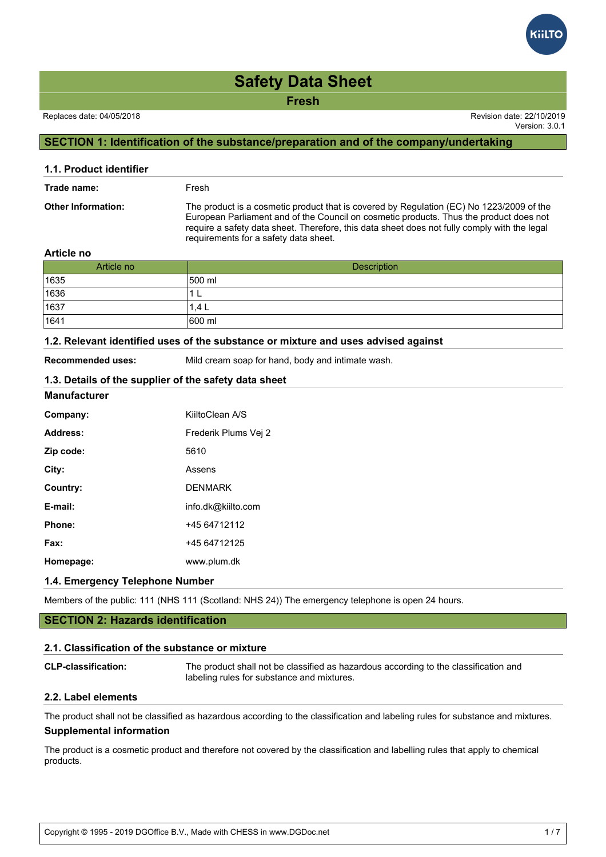**Fresh**

Version: 3.0.1

# **SECTION 1: Identification of the substance/preparation and of the company/undertaking**

| 1.1. Product identifier   |                                                                                                                                                                                                                                                                                                                             |
|---------------------------|-----------------------------------------------------------------------------------------------------------------------------------------------------------------------------------------------------------------------------------------------------------------------------------------------------------------------------|
| Trade name:               | Fresh                                                                                                                                                                                                                                                                                                                       |
| <b>Other Information:</b> | The product is a cosmetic product that is covered by Regulation (EC) No 1223/2009 of the<br>European Parliament and of the Council on cosmetic products. Thus the product does not<br>require a safety data sheet. Therefore, this data sheet does not fully comply with the legal<br>requirements for a safety data sheet. |
| .                         |                                                                                                                                                                                                                                                                                                                             |

#### **Article no**

| Article no     | Description |
|----------------|-------------|
| 1635           | 500 ml      |
| 1636           | ┶           |
| $\boxed{1637}$ | 1.4 L       |
| 1641           | 600 ml      |

#### **1.2. Relevant identified uses of the substance or mixture and uses advised against**

**Recommended uses:** Mild cream soap for hand, body and intimate wash.

# **1.3. Details of the supplier of the safety data sheet**

#### **Manufacturer**

| Company:  | KiiltoClean A/S      |
|-----------|----------------------|
| Address:  | Frederik Plums Vei 2 |
| Zip code: | 5610                 |
| City:     | Assens               |
| Country:  | <b>DENMARK</b>       |
| E-mail:   | info.dk@kiilto.com   |
| Phone:    | +45 64712112         |
| Fax:      | +45 64712125         |
| Homepage: | www.plum.dk          |

### **1.4. Emergency Telephone Number**

Members of the public: 111 (NHS 111 (Scotland: NHS 24)) The emergency telephone is open 24 hours.

## **SECTION 2: Hazards identification**

#### **2.1. Classification of the substance or mixture**

| <b>CLP-classification:</b> | The product shall not be classified as hazardous according to the classification and |
|----------------------------|--------------------------------------------------------------------------------------|
|                            | labeling rules for substance and mixtures.                                           |

## **2.2. Label elements**

The product shall not be classified as hazardous according to the classification and labeling rules for substance and mixtures. **Supplemental information**

The product is a cosmetic product and therefore not covered by the classification and labelling rules that apply to chemical products.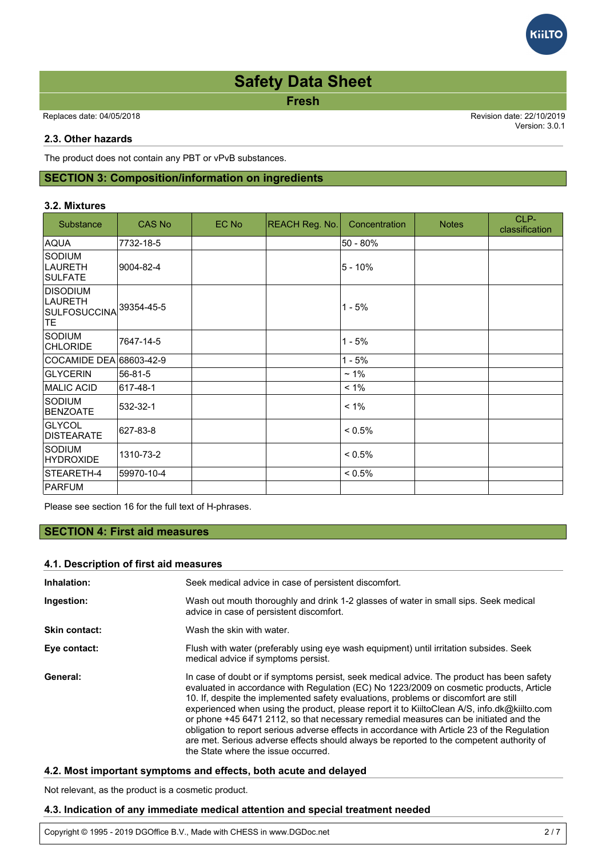**Fresh**

Replaces date: 04/05/2018 Revision date: 22/10/2019

Version: 3.0.1

**iiLTC** 

## **2.3. Other hazards**

The product does not contain any PBT or vPvB substances.

# **SECTION 3: Composition/information on ingredients**

### **3.2. Mixtures**

| Substance                                                      | <b>CAS No</b> | EC No | <b>REACH Reg. No.</b> | Concentration | <b>Notes</b> | CLP-<br>classification |
|----------------------------------------------------------------|---------------|-------|-----------------------|---------------|--------------|------------------------|
| AQUA                                                           | 7732-18-5     |       |                       | 50 - 80%      |              |                        |
| Sodium<br><b>LAURETH</b><br><b>SULFATE</b>                     | 9004-82-4     |       |                       | $5 - 10%$     |              |                        |
| <b>DISODIUM</b><br><b>LAURETH</b><br><b>SULFOSUCCINA</b><br>TE | 39354-45-5    |       |                       | $1 - 5%$      |              |                        |
| <b>SODIUM</b><br><b>CHLORIDE</b>                               | 7647-14-5     |       |                       | $1 - 5%$      |              |                        |
| COCAMIDE DEA 68603-42-9                                        |               |       |                       | $1 - 5%$      |              |                        |
| <b>GLYCERIN</b>                                                | 56-81-5       |       |                       | $~1\%$        |              |                        |
| <b>IMALIC ACID</b>                                             | 617-48-1      |       |                       | $< 1\%$       |              |                        |
| <b>SODIUM</b><br><b>BENZOATE</b>                               | 532-32-1      |       |                       | $< 1\%$       |              |                        |
| GLYCOL<br><b>DISTEARATE</b>                                    | 627-83-8      |       |                       | $< 0.5\%$     |              |                        |
| <b>SODIUM</b><br><b>HYDROXIDE</b>                              | 1310-73-2     |       |                       | $< 0.5\%$     |              |                        |
| STEARETH-4                                                     | 59970-10-4    |       |                       | < 0.5%        |              |                        |
| PARFUM                                                         |               |       |                       |               |              |                        |

Please see section 16 for the full text of H-phrases.

# **SECTION 4: First aid measures**

## **4.1. Description of first aid measures**

| Inhalation:          | Seek medical advice in case of persistent discomfort.                                                                                                                                                                                                                                                                                                                                                                                                                                                                                                                                                                                                                                                  |
|----------------------|--------------------------------------------------------------------------------------------------------------------------------------------------------------------------------------------------------------------------------------------------------------------------------------------------------------------------------------------------------------------------------------------------------------------------------------------------------------------------------------------------------------------------------------------------------------------------------------------------------------------------------------------------------------------------------------------------------|
| Ingestion:           | Wash out mouth thoroughly and drink 1-2 glasses of water in small sips. Seek medical<br>advice in case of persistent discomfort.                                                                                                                                                                                                                                                                                                                                                                                                                                                                                                                                                                       |
| <b>Skin contact:</b> | Wash the skin with water.                                                                                                                                                                                                                                                                                                                                                                                                                                                                                                                                                                                                                                                                              |
| Eye contact:         | Flush with water (preferably using eye wash equipment) until irritation subsides. Seek<br>medical advice if symptoms persist.                                                                                                                                                                                                                                                                                                                                                                                                                                                                                                                                                                          |
| General:             | In case of doubt or if symptoms persist, seek medical advice. The product has been safety<br>evaluated in accordance with Regulation (EC) No 1223/2009 on cosmetic products, Article<br>10. If, despite the implemented safety evaluations, problems or discomfort are still<br>experienced when using the product, please report it to KiiltoClean A/S, info.dk@kiilto.com<br>or phone +45 6471 2112, so that necessary remedial measures can be initiated and the<br>obligation to report serious adverse effects in accordance with Article 23 of the Regulation<br>are met. Serious adverse effects should always be reported to the competent authority of<br>the State where the issue occurred. |

## **4.2. Most important symptoms and effects, both acute and delayed**

Not relevant, as the product is a cosmetic product.

## **4.3. Indication of any immediate medical attention and special treatment needed**

Copyright © 1995 - 2019 DGOffice B.V., Made with CHESS in www.DGDoc.net 2 / 7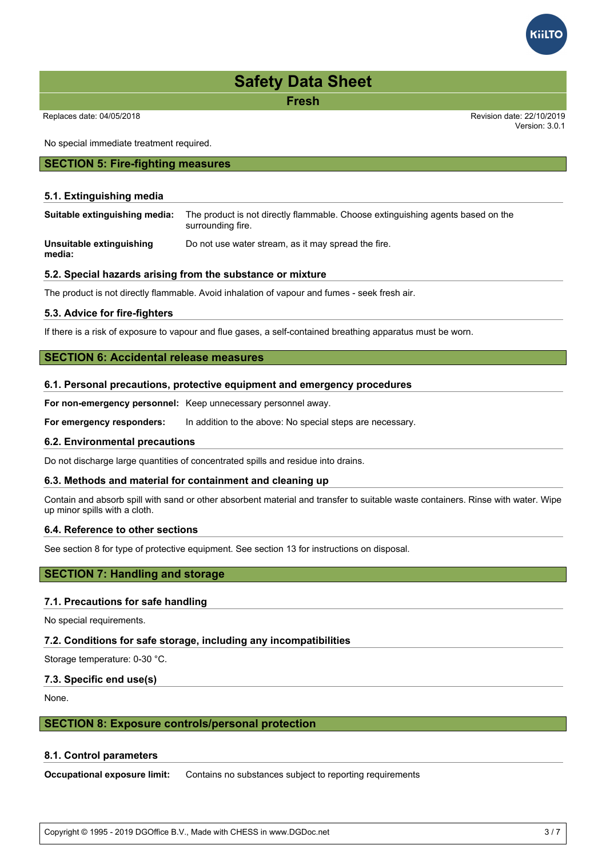**Fresh**

Replaces date: 04/05/2018 Revision date: 22/10/2019

No special immediate treatment required.

#### **SECTION 5: Fire-fighting measures**

#### **5.1. Extinguishing media**

**Suitable extinguishing media:** The product is not directly flammable. Choose extinguishing agents based on the surrounding fire.

**Unsuitable extinguishing media:** Do not use water stream, as it may spread the fire.

#### **5.2. Special hazards arising from the substance or mixture**

The product is not directly flammable. Avoid inhalation of vapour and fumes - seek fresh air.

#### **5.3. Advice for fire-fighters**

If there is a risk of exposure to vapour and flue gases, a self-contained breathing apparatus must be worn.

## **SECTION 6: Accidental release measures**

#### **6.1. Personal precautions, protective equipment and emergency procedures**

**For non-emergency personnel:** Keep unnecessary personnel away.

**For emergency responders:** In addition to the above: No special steps are necessary.

#### **6.2. Environmental precautions**

Do not discharge large quantities of concentrated spills and residue into drains.

#### **6.3. Methods and material for containment and cleaning up**

Contain and absorb spill with sand or other absorbent material and transfer to suitable waste containers. Rinse with water. Wipe up minor spills with a cloth.

### **6.4. Reference to other sections**

See section 8 for type of protective equipment. See section 13 for instructions on disposal.

# **SECTION 7: Handling and storage**

#### **7.1. Precautions for safe handling**

No special requirements.

#### **7.2. Conditions for safe storage, including any incompatibilities**

Storage temperature: 0-30 °C.

#### **7.3. Specific end use(s)**

None.

#### **SECTION 8: Exposure controls/personal protection**

#### **8.1. Control parameters**

**Occupational exposure limit:** Contains no substances subject to reporting requirements

Copyright © 1995 - 2019 DGOffice B.V., Made with CHESS in www.DGDoc.net 3 / 7



Version: 3.0.1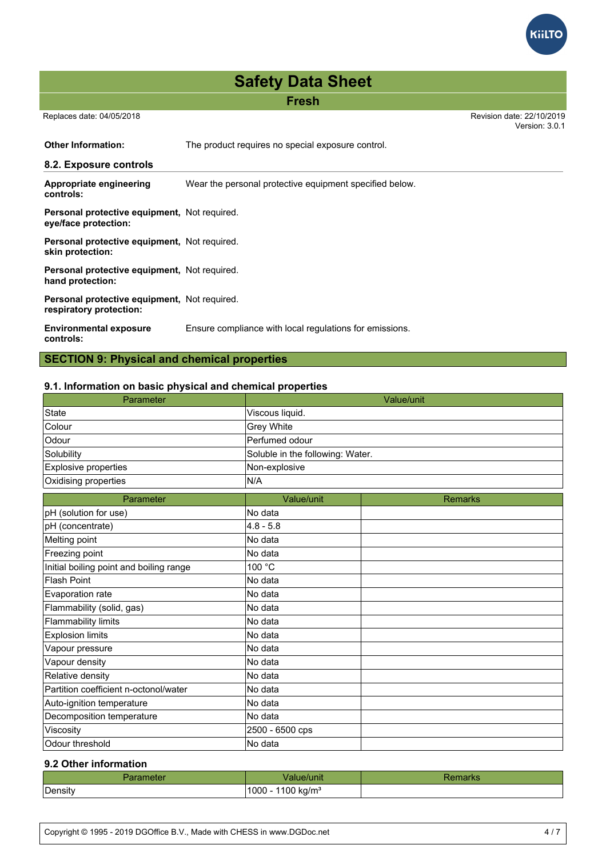**Fresh**

 Replaces date: 04/05/2018 Revision date: 22/10/2019 Version: 3.0.1

**GiltTC** 

**Other Information:** The product requires no special exposure control. **8.2. Exposure controls Appropriate engineering controls:** Wear the personal protective equipment specified below. **Personal protective equipment,** Not required. **eye/face protection: Personal protective equipment,** Not required. **skin protection: Personal protective equipment,** Not required. **hand protection: Personal protective equipment,** Not required. **respiratory protection: Environmental exposure controls:** Ensure compliance with local regulations for emissions.

# **SECTION 9: Physical and chemical properties**

## **9.1. Information on basic physical and chemical properties**

| Parameter                               | Value/unit                       |                |  |
|-----------------------------------------|----------------------------------|----------------|--|
| <b>State</b>                            | Viscous liquid.                  |                |  |
| Colour                                  | Grey White                       |                |  |
| Odour                                   | Perfumed odour                   |                |  |
| Solubility                              | Soluble in the following: Water. |                |  |
| Explosive properties                    | Non-explosive                    |                |  |
| Oxidising properties                    | N/A                              |                |  |
| Parameter                               | Value/unit                       | <b>Remarks</b> |  |
| pH (solution for use)                   | No data                          |                |  |
| pH (concentrate)                        | $4.8 - 5.8$                      |                |  |
| Melting point                           | No data                          |                |  |
| Freezing point                          | No data                          |                |  |
| Initial boiling point and boiling range | 100 °C                           |                |  |
| <b>Flash Point</b>                      | No data                          |                |  |
| Evaporation rate                        | No data                          |                |  |
| Flammability (solid, gas)               | No data                          |                |  |
| <b>Flammability limits</b>              | No data                          |                |  |
| <b>Explosion limits</b>                 | No data                          |                |  |
| Vapour pressure                         | No data                          |                |  |
| Vapour density                          | No data                          |                |  |
| Relative density                        | No data                          |                |  |
| Partition coefficient n-octonol/water   | No data                          |                |  |
| Auto-ignition temperature               | No data                          |                |  |
| Decomposition temperature               | No data                          |                |  |
| Viscosity                               | 2500 - 6500 cps                  |                |  |
| Odour threshold                         | No data                          |                |  |

# **9.2 Other information**

|                | v/unit                         | ™idi Nu |
|----------------|--------------------------------|---------|
| $-$<br>Density | - 1000<br>1100<br>, ka/mª<br>ີ |         |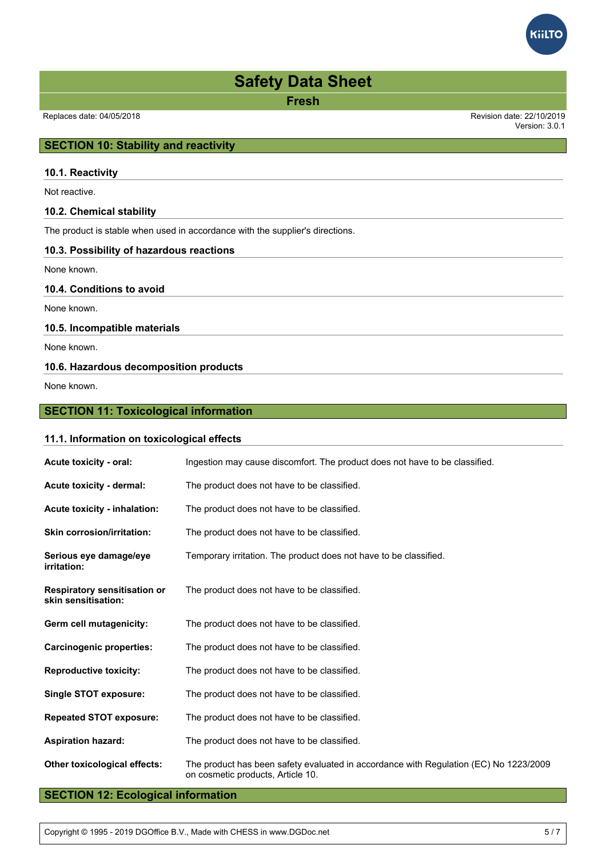

**Fresh**

Version: 3.0.1

## **SECTION 10: Stability and reactivity**

### **10.1. Reactivity**

Not reactive.

#### **10.2. Chemical stability**

The product is stable when used in accordance with the supplier's directions.

### **10.3. Possibility of hazardous reactions**

None known.

## **10.4. Conditions to avoid**

None known.

### **10.5. Incompatible materials**

None known.

## **10.6. Hazardous decomposition products**

None known.

## **SECTION 11: Toxicological information**

**11.1. Information on toxicological effects**

# **Acute toxicity - oral:** Ingestion may cause discomfort. The product does not have to be classified. **Acute toxicity - dermal:** The product does not have to be classified. **Acute toxicity - inhalation:** The product does not have to be classified. **Skin corrosion/irritation:** The product does not have to be classified. **Serious eye damage/eye irritation:** Temporary irritation. The product does not have to be classified. **Respiratory sensitisation or skin sensitisation:** The product does not have to be classified. **Germ cell mutagenicity:** The product does not have to be classified. **Carcinogenic properties:** The product does not have to be classified. **Reproductive toxicity:** The product does not have to be classified. **Single STOT exposure:** The product does not have to be classified. **Repeated STOT exposure:** The product does not have to be classified. **Aspiration hazard:** The product does not have to be classified. **Other toxicological effects:** The product has been safety evaluated in accordance with Regulation (EC) No 1223/2009 on cosmetic products, Article 10.

# **SECTION 12: Ecological information**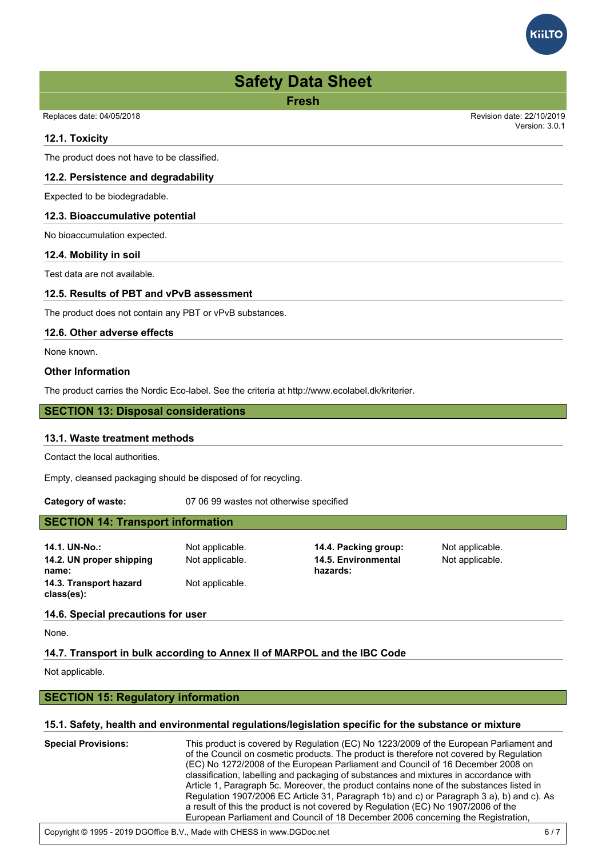

Version: 3.0.1

Replaces date: 04/05/2018 Revision date: 22/10/2019

#### **12.1. Toxicity**

The product does not have to be classified.

## **12.2. Persistence and degradability**

Expected to be biodegradable.

### **12.3. Bioaccumulative potential**

No bioaccumulation expected.

### **12.4. Mobility in soil**

Test data are not available.

### **12.5. Results of PBT and vPvB assessment**

The product does not contain any PBT or vPvB substances.

### **12.6. Other adverse effects**

None known.

### **Other Information**

The product carries the Nordic Eco-label. See the criteria at http://www.ecolabel.dk/kriterier.

## **SECTION 13: Disposal considerations**

#### **13.1. Waste treatment methods**

Contact the local authorities.

Empty, cleansed packaging should be disposed of for recycling.

**Category of waste:** 07 06 99 wastes not otherwise specified

# **SECTION 14: Transport information**

**14.1. UN-No.:** Not applicable. **14.4. Packing group:** Not applicable. **14.2. UN proper shipping name: 14.3. Transport hazard class(es):**

Not applicable.

Not applicable. **14.5. Environmental hazards:**

Not applicable.

# **14.6. Special precautions for user**

None.

## **14.7. Transport in bulk according to Annex II of MARPOL and the IBC Code**

Not applicable.

## **SECTION 15: Regulatory information**

## **15.1. Safety, health and environmental regulations/legislation specific for the substance or mixture**

**Special Provisions:** This product is covered by Regulation (EC) No 1223/2009 of the European Parliament and of the Council on cosmetic products. The product is therefore not covered by Regulation (EC) No 1272/2008 of the European Parliament and Council of 16 December 2008 on classification, labelling and packaging of substances and mixtures in accordance with Article 1, Paragraph 5c. Moreover, the product contains none of the substances listed in Regulation 1907/2006 EC Article 31, Paragraph 1b) and c) or Paragraph 3 a), b) and c). As a result of this the product is not covered by Regulation (EC) No 1907/2006 of the European Parliament and Council of 18 December 2006 concerning the Registration,